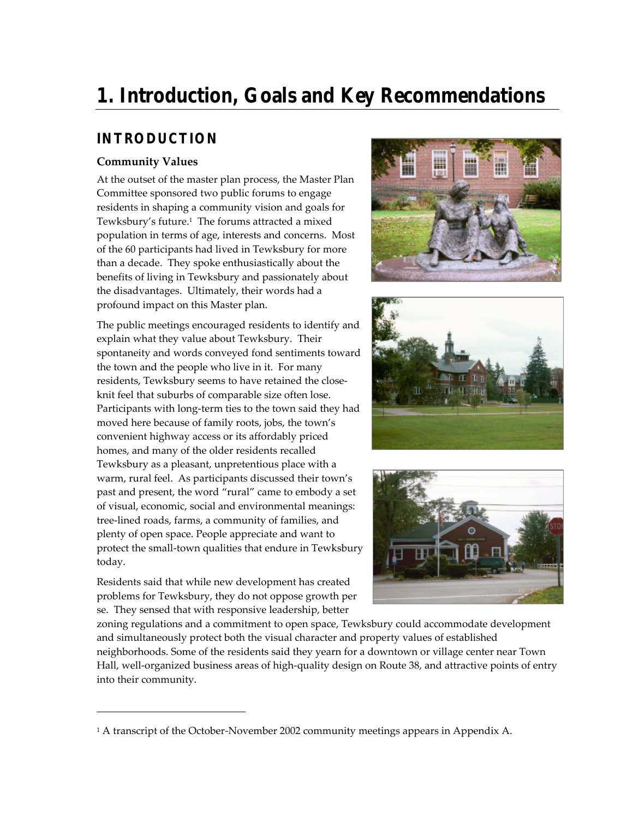# **1. Introduction, Goals and Key Recommendations**

### **INTRODUCTION**

#### **Community Values**

At the outset of the master plan process, the Master Plan Committee sponsored two public forums to engage residents in shaping a community vision and goals for Tewksbury's future.<sup>1</sup> The forums attracted a mixed population in terms of age, interests and concerns. Most of the 60 participants had lived in Tewksbury for more than a decade. They spoke enthusiastically about the benefits of living in Tewksbury and passionately about the disadvantages. Ultimately, their words had a profound impact on this Master plan.

The public meetings encouraged residents to identify and explain what they value about Tewksbury. Their spontaneity and words conveyed fond sentiments toward the town and the people who live in it. For many residents, Tewksbury seems to have retained the closeknit feel that suburbs of comparable size often lose. Participants with long-term ties to the town said they had moved here because of family roots, jobs, the town's convenient highway access or its affordably priced homes, and many of the older residents recalled Tewksbury as a pleasant, unpretentious place with a warm, rural feel. As participants discussed their town's past and present, the word "rural" came to embody a set of visual, economic, social and environmental meanings: tree-lined roads, farms, a community of families, and plenty of open space. People appreciate and want to protect the small-town qualities that endure in Tewksbury today.

Residents said that while new development has created problems for Tewksbury, they do not oppose growth per se. They sensed that with responsive leadership, better

-







zoning regulations and a commitment to open space, Tewksbury could accommodate development and simultaneously protect both the visual character and property values of established neighborhoods. Some of the residents said they yearn for a downtown or village center near Town Hall, well-organized business areas of high-quality design on Route 38, and attractive points of entry into their community.

<sup>&</sup>lt;sup>1</sup> A transcript of the October-November 2002 community meetings appears in Appendix A.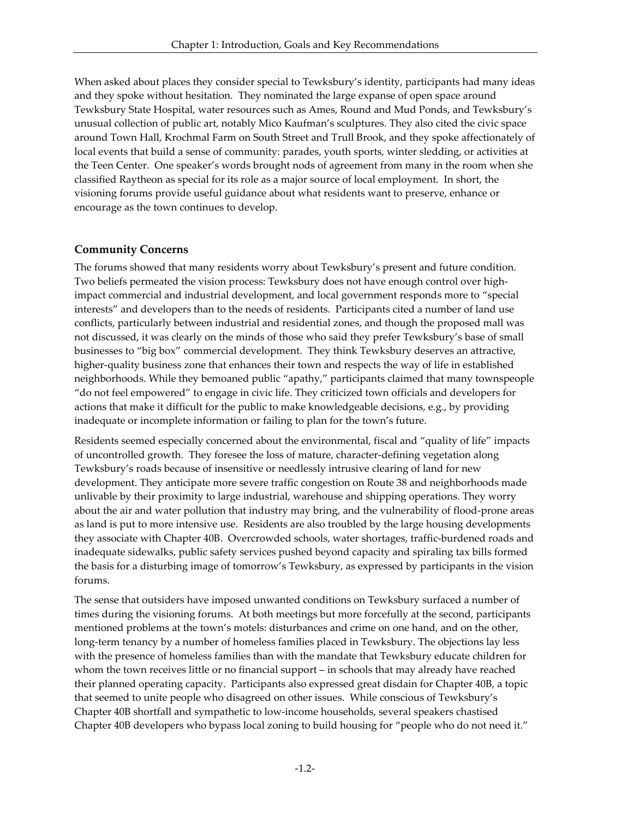When asked about places they consider special to Tewksbury's identity, participants had many ideas and they spoke without hesitation. They nominated the large expanse of open space around Tewksbury State Hospital, water resources such as Ames, Round and Mud Ponds, and Tewksbury's unusual collection of public art, notably Mico Kaufman's sculptures. They also cited the civic space around Town Hall, Krochmal Farm on South Street and Trull Brook, and they spoke affectionately of local events that build a sense of community: parades, youth sports, winter sledding, or activities at the Teen Center. One speaker's words brought nods of agreement from many in the room when she classified Raytheon as special for its role as a major source of local employment. In short, the visioning forums provide useful guidance about what residents want to preserve, enhance or encourage as the town continues to develop.

#### **Community Concerns**

The forums showed that many residents worry about Tewksbury's present and future condition. Two beliefs permeated the vision process: Tewksbury does not have enough control over highimpact commercial and industrial development, and local government responds more to "special interests" and developers than to the needs of residents. Participants cited a number of land use conflicts, particularly between industrial and residential zones, and though the proposed mall was not discussed, it was clearly on the minds of those who said they prefer Tewksbury's base of small businesses to "big box" commercial development. They think Tewksbury deserves an attractive, higher-quality business zone that enhances their town and respects the way of life in established neighborhoods. While they bemoaned public "apathy," participants claimed that many townspeople "do not feel empowered" to engage in civic life. They criticized town officials and developers for actions that make it difficult for the public to make knowledgeable decisions, e.g., by providing inadequate or incomplete information or failing to plan for the town's future.

Residents seemed especially concerned about the environmental, fiscal and "quality of life" impacts of uncontrolled growth. They foresee the loss of mature, character-defining vegetation along Tewksbury's roads because of insensitive or needlessly intrusive clearing of land for new development. They anticipate more severe traffic congestion on Route 38 and neighborhoods made unlivable by their proximity to large industrial, warehouse and shipping operations. They worry about the air and water pollution that industry may bring, and the vulnerability of flood-prone areas as land is put to more intensive use. Residents are also troubled by the large housing developments they associate with Chapter 40B. Overcrowded schools, water shortages, traffic-burdened roads and inadequate sidewalks, public safety services pushed beyond capacity and spiraling tax bills formed the basis for a disturbing image of tomorrow's Tewksbury, as expressed by participants in the vision forums.

The sense that outsiders have imposed unwanted conditions on Tewksbury surfaced a number of times during the visioning forums. At both meetings but more forcefully at the second, participants mentioned problems at the town's motels: disturbances and crime on one hand, and on the other, long-term tenancy by a number of homeless families placed in Tewksbury. The objections lay less with the presence of homeless families than with the mandate that Tewksbury educate children for whom the town receives little or no financial support – in schools that may already have reached their planned operating capacity. Participants also expressed great disdain for Chapter 40B, a topic that seemed to unite people who disagreed on other issues. While conscious of Tewksbury's Chapter 40B shortfall and sympathetic to low-income households, several speakers chastised Chapter 40B developers who bypass local zoning to build housing for "people who do not need it."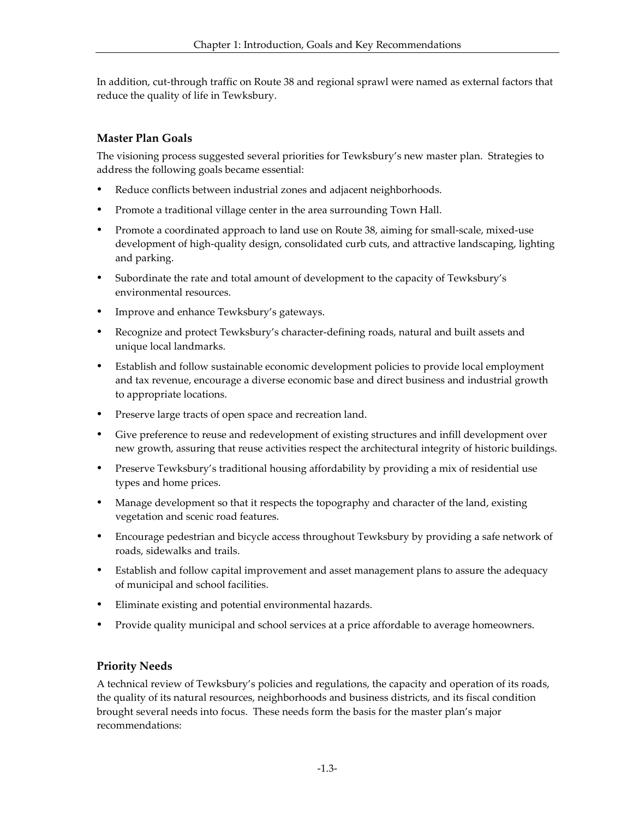In addition, cut-through traffic on Route 38 and regional sprawl were named as external factors that reduce the quality of life in Tewksbury.

#### **Master Plan Goals**

The visioning process suggested several priorities for Tewksbury's new master plan. Strategies to address the following goals became essential:

- Reduce conflicts between industrial zones and adjacent neighborhoods.
- Promote a traditional village center in the area surrounding Town Hall.
- Promote a coordinated approach to land use on Route 38, aiming for small-scale, mixed-use development of high-quality design, consolidated curb cuts, and attractive landscaping, lighting and parking.
- ü Subordinate the rate and total amount of development to the capacity of Tewksbury's environmental resources.
- Improve and enhance Tewksbury's gateways.
- ü Recognize and protect Tewksbury's character-defining roads, natural and built assets and unique local landmarks.
- ü Establish and follow sustainable economic development policies to provide local employment and tax revenue, encourage a diverse economic base and direct business and industrial growth to appropriate locations.
- ü Preserve large tracts of open space and recreation land.
- ü Give preference to reuse and redevelopment of existing structures and infill development over new growth, assuring that reuse activities respect the architectural integrity of historic buildings.
- Preserve Tewksbury's traditional housing affordability by providing a mix of residential use types and home prices.
- ü Manage development so that it respects the topography and character of the land, existing vegetation and scenic road features.
- ü Encourage pedestrian and bicycle access throughout Tewksbury by providing a safe network of roads, sidewalks and trails.
- ü Establish and follow capital improvement and asset management plans to assure the adequacy of municipal and school facilities.
- ü Eliminate existing and potential environmental hazards.
- Provide quality municipal and school services at a price affordable to average homeowners.

#### **Priority Needs**

A technical review of Tewksbury's policies and regulations, the capacity and operation of its roads, the quality of its natural resources, neighborhoods and business districts, and its fiscal condition brought several needs into focus. These needs form the basis for the master plan's major recommendations: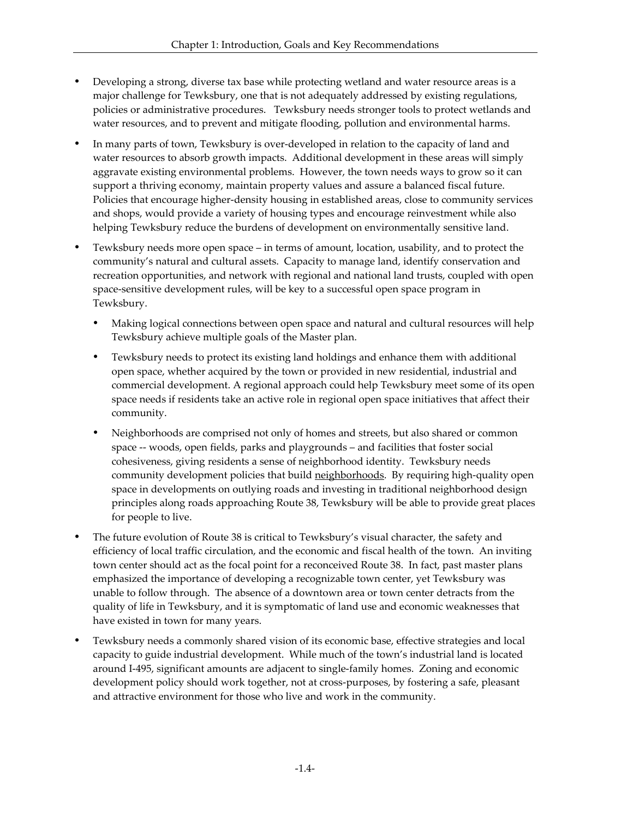- Developing a strong, diverse tax base while protecting wetland and water resource areas is a major challenge for Tewksbury, one that is not adequately addressed by existing regulations, policies or administrative procedures. Tewksbury needs stronger tools to protect wetlands and water resources, and to prevent and mitigate flooding, pollution and environmental harms.
- ü In many parts of town, Tewksbury is over-developed in relation to the capacity of land and water resources to absorb growth impacts. Additional development in these areas will simply aggravate existing environmental problems. However, the town needs ways to grow so it can support a thriving economy, maintain property values and assure a balanced fiscal future. Policies that encourage higher-density housing in established areas, close to community services and shops, would provide a variety of housing types and encourage reinvestment while also helping Tewksbury reduce the burdens of development on environmentally sensitive land.
- ü Tewksbury needs more open space in terms of amount, location, usability, and to protect the community's natural and cultural assets. Capacity to manage land, identify conservation and recreation opportunities, and network with regional and national land trusts, coupled with open space-sensitive development rules, will be key to a successful open space program in Tewksbury.
	- ü Making logical connections between open space and natural and cultural resources will help Tewksbury achieve multiple goals of the Master plan.
	- ü Tewksbury needs to protect its existing land holdings and enhance them with additional open space, whether acquired by the town or provided in new residential, industrial and commercial development. A regional approach could help Tewksbury meet some of its open space needs if residents take an active role in regional open space initiatives that affect their community.
	- ü Neighborhoods are comprised not only of homes and streets, but also shared or common space -- woods, open fields, parks and playgrounds – and facilities that foster social cohesiveness, giving residents a sense of neighborhood identity. Tewksbury needs community development policies that build neighborhoods. By requiring high-quality open space in developments on outlying roads and investing in traditional neighborhood design principles along roads approaching Route 38, Tewksbury will be able to provide great places for people to live.
- ü The future evolution of Route 38 is critical to Tewksbury's visual character, the safety and efficiency of local traffic circulation, and the economic and fiscal health of the town. An inviting town center should act as the focal point for a reconceived Route 38. In fact, past master plans emphasized the importance of developing a recognizable town center, yet Tewksbury was unable to follow through. The absence of a downtown area or town center detracts from the quality of life in Tewksbury, and it is symptomatic of land use and economic weaknesses that have existed in town for many years.
- ü Tewksbury needs a commonly shared vision of its economic base, effective strategies and local capacity to guide industrial development. While much of the town's industrial land is located around I-495, significant amounts are adjacent to single-family homes. Zoning and economic development policy should work together, not at cross-purposes, by fostering a safe, pleasant and attractive environment for those who live and work in the community.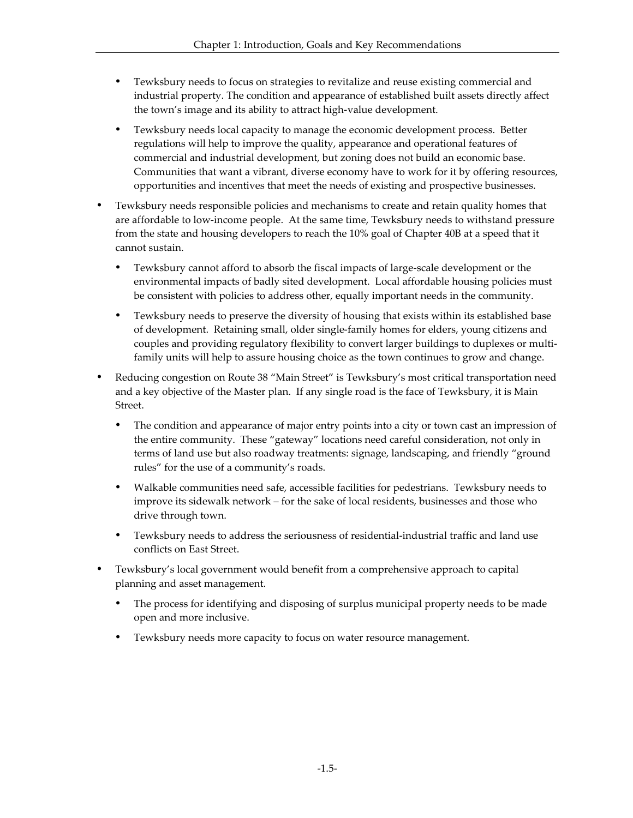- ü Tewksbury needs to focus on strategies to revitalize and reuse existing commercial and industrial property. The condition and appearance of established built assets directly affect the town's image and its ability to attract high-value development.
- ü Tewksbury needs local capacity to manage the economic development process. Better regulations will help to improve the quality, appearance and operational features of commercial and industrial development, but zoning does not build an economic base. Communities that want a vibrant, diverse economy have to work for it by offering resources, opportunities and incentives that meet the needs of existing and prospective businesses.
- ü Tewksbury needs responsible policies and mechanisms to create and retain quality homes that are affordable to low-income people. At the same time, Tewksbury needs to withstand pressure from the state and housing developers to reach the 10% goal of Chapter 40B at a speed that it cannot sustain.
	- ü Tewksbury cannot afford to absorb the fiscal impacts of large-scale development or the environmental impacts of badly sited development. Local affordable housing policies must be consistent with policies to address other, equally important needs in the community.
	- Tewksbury needs to preserve the diversity of housing that exists within its established base of development. Retaining small, older single-family homes for elders, young citizens and couples and providing regulatory flexibility to convert larger buildings to duplexes or multifamily units will help to assure housing choice as the town continues to grow and change.
- ü Reducing congestion on Route 38 "Main Street" is Tewksbury's most critical transportation need and a key objective of the Master plan. If any single road is the face of Tewksbury, it is Main Street.
	- The condition and appearance of major entry points into a city or town cast an impression of the entire community. These "gateway" locations need careful consideration, not only in terms of land use but also roadway treatments: signage, landscaping, and friendly "ground rules" for the use of a community's roads.
	- ü Walkable communities need safe, accessible facilities for pedestrians. Tewksbury needs to improve its sidewalk network – for the sake of local residents, businesses and those who drive through town.
	- ü Tewksbury needs to address the seriousness of residential-industrial traffic and land use conflicts on East Street.
- ü Tewksbury's local government would benefit from a comprehensive approach to capital planning and asset management.
	- ü The process for identifying and disposing of surplus municipal property needs to be made open and more inclusive.
	- ü Tewksbury needs more capacity to focus on water resource management.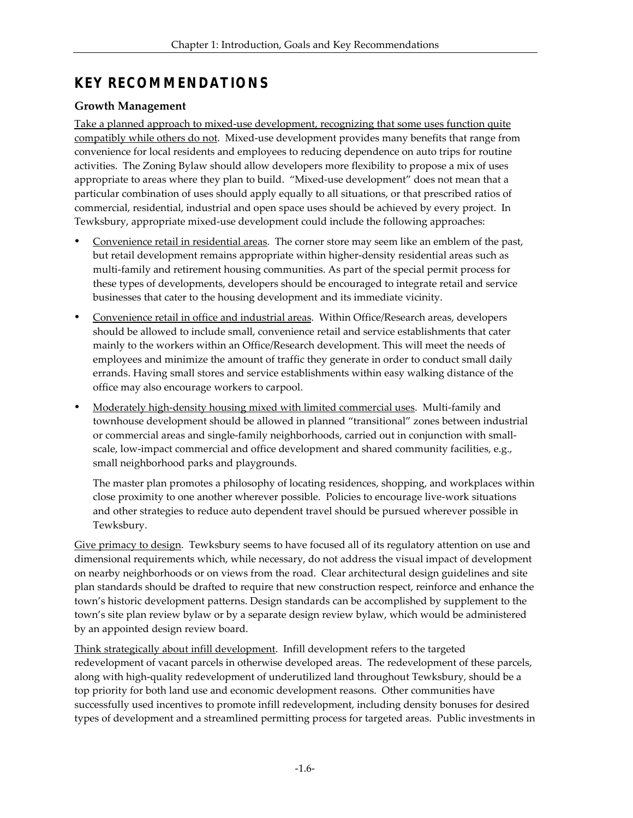## **KEY RECOMMENDATIONS**

#### **Growth Management**

Take a planned approach to mixed-use development, recognizing that some uses function quite compatibly while others do not. Mixed-use development provides many benefits that range from convenience for local residents and employees to reducing dependence on auto trips for routine activities. The Zoning Bylaw should allow developers more flexibility to propose a mix of uses appropriate to areas where they plan to build. "Mixed-use development" does not mean that a particular combination of uses should apply equally to all situations, or that prescribed ratios of commercial, residential, industrial and open space uses should be achieved by every project. In Tewksbury, appropriate mixed-use development could include the following approaches:

- ü Convenience retail in residential areas. The corner store may seem like an emblem of the past, but retail development remains appropriate within higher-density residential areas such as multi-family and retirement housing communities. As part of the special permit process for these types of developments, developers should be encouraged to integrate retail and service businesses that cater to the housing development and its immediate vicinity.
- ü Convenience retail in office and industrial areas. Within Office/Research areas, developers should be allowed to include small, convenience retail and service establishments that cater mainly to the workers within an Office/Research development. This will meet the needs of employees and minimize the amount of traffic they generate in order to conduct small daily errands. Having small stores and service establishments within easy walking distance of the office may also encourage workers to carpool.
- ü Moderately high-density housing mixed with limited commercial uses. Multi-family and townhouse development should be allowed in planned "transitional" zones between industrial or commercial areas and single-family neighborhoods, carried out in conjunction with smallscale, low-impact commercial and office development and shared community facilities, e.g., small neighborhood parks and playgrounds.

The master plan promotes a philosophy of locating residences, shopping, and workplaces within close proximity to one another wherever possible. Policies to encourage live-work situations and other strategies to reduce auto dependent travel should be pursued wherever possible in Tewksbury.

Give primacy to design. Tewksbury seems to have focused all of its regulatory attention on use and dimensional requirements which, while necessary, do not address the visual impact of development on nearby neighborhoods or on views from the road. Clear architectural design guidelines and site plan standards should be drafted to require that new construction respect, reinforce and enhance the town's historic development patterns. Design standards can be accomplished by supplement to the town's site plan review bylaw or by a separate design review bylaw, which would be administered by an appointed design review board.

Think strategically about infill development. Infill development refers to the targeted redevelopment of vacant parcels in otherwise developed areas. The redevelopment of these parcels, along with high-quality redevelopment of underutilized land throughout Tewksbury, should be a top priority for both land use and economic development reasons. Other communities have successfully used incentives to promote infill redevelopment, including density bonuses for desired types of development and a streamlined permitting process for targeted areas. Public investments in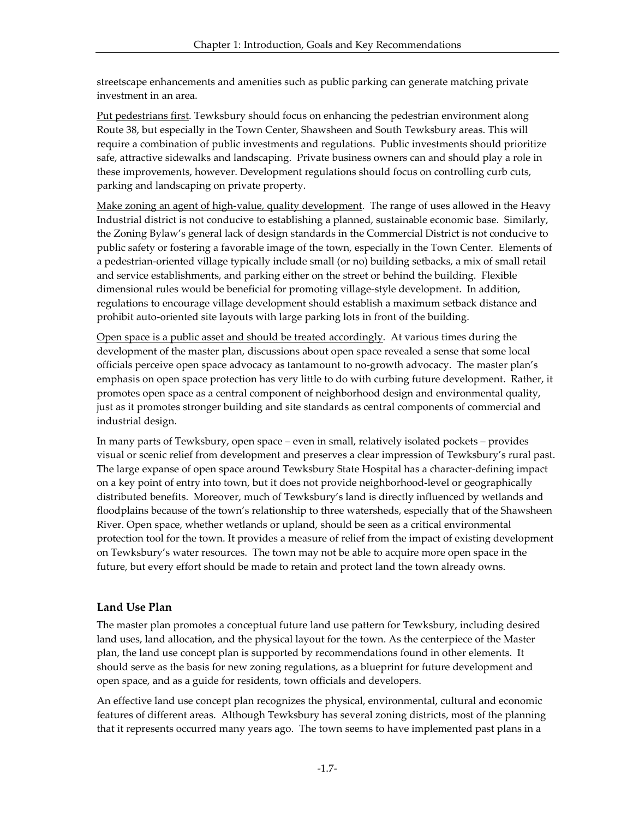streetscape enhancements and amenities such as public parking can generate matching private investment in an area.

Put pedestrians first. Tewksbury should focus on enhancing the pedestrian environment along Route 38, but especially in the Town Center, Shawsheen and South Tewksbury areas. This will require a combination of public investments and regulations. Public investments should prioritize safe, attractive sidewalks and landscaping. Private business owners can and should play a role in these improvements, however. Development regulations should focus on controlling curb cuts, parking and landscaping on private property.

Make zoning an agent of high-value, quality development. The range of uses allowed in the Heavy Industrial district is not conducive to establishing a planned, sustainable economic base. Similarly, the Zoning Bylaw's general lack of design standards in the Commercial District is not conducive to public safety or fostering a favorable image of the town, especially in the Town Center. Elements of a pedestrian-oriented village typically include small (or no) building setbacks, a mix of small retail and service establishments, and parking either on the street or behind the building. Flexible dimensional rules would be beneficial for promoting village-style development. In addition, regulations to encourage village development should establish a maximum setback distance and prohibit auto-oriented site layouts with large parking lots in front of the building.

Open space is a public asset and should be treated accordingly. At various times during the development of the master plan, discussions about open space revealed a sense that some local officials perceive open space advocacy as tantamount to no-growth advocacy. The master plan's emphasis on open space protection has very little to do with curbing future development. Rather, it promotes open space as a central component of neighborhood design and environmental quality, just as it promotes stronger building and site standards as central components of commercial and industrial design.

In many parts of Tewksbury, open space – even in small, relatively isolated pockets – provides visual or scenic relief from development and preserves a clear impression of Tewksbury's rural past. The large expanse of open space around Tewksbury State Hospital has a character-defining impact on a key point of entry into town, but it does not provide neighborhood-level or geographically distributed benefits. Moreover, much of Tewksbury's land is directly influenced by wetlands and floodplains because of the town's relationship to three watersheds, especially that of the Shawsheen River. Open space, whether wetlands or upland, should be seen as a critical environmental protection tool for the town. It provides a measure of relief from the impact of existing development on Tewksbury's water resources. The town may not be able to acquire more open space in the future, but every effort should be made to retain and protect land the town already owns.

#### **Land Use Plan**

The master plan promotes a conceptual future land use pattern for Tewksbury, including desired land uses, land allocation, and the physical layout for the town. As the centerpiece of the Master plan, the land use concept plan is supported by recommendations found in other elements. It should serve as the basis for new zoning regulations, as a blueprint for future development and open space, and as a guide for residents, town officials and developers.

An effective land use concept plan recognizes the physical, environmental, cultural and economic features of different areas. Although Tewksbury has several zoning districts, most of the planning that it represents occurred many years ago. The town seems to have implemented past plans in a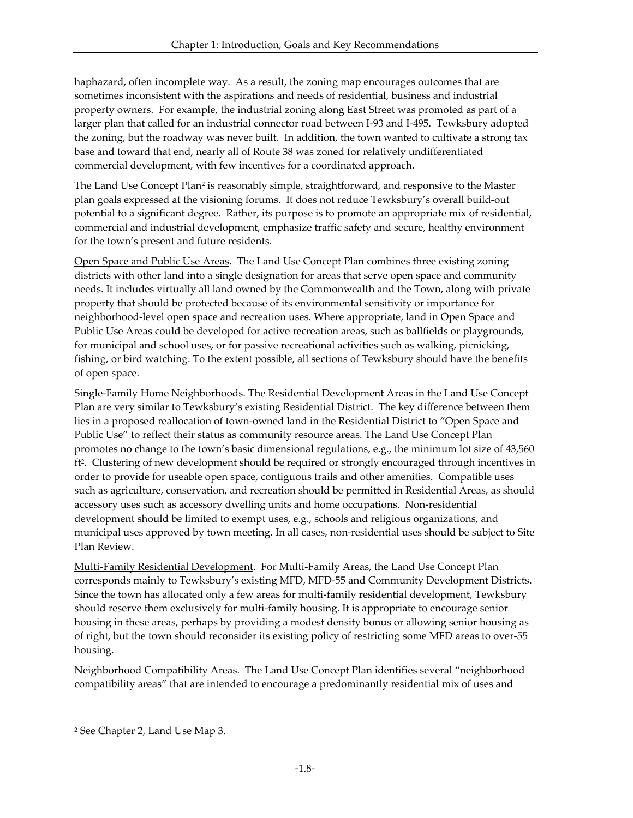haphazard, often incomplete way. As a result, the zoning map encourages outcomes that are sometimes inconsistent with the aspirations and needs of residential, business and industrial property owners. For example, the industrial zoning along East Street was promoted as part of a larger plan that called for an industrial connector road between I-93 and I-495. Tewksbury adopted the zoning, but the roadway was never built. In addition, the town wanted to cultivate a strong tax base and toward that end, nearly all of Route 38 was zoned for relatively undifferentiated commercial development, with few incentives for a coordinated approach.

The Land Use Concept Plan<sup>2</sup> is reasonably simple, straightforward, and responsive to the Master plan goals expressed at the visioning forums. It does not reduce Tewksbury's overall build-out potential to a significant degree. Rather, its purpose is to promote an appropriate mix of residential, commercial and industrial development, emphasize traffic safety and secure, healthy environment for the town's present and future residents.

Open Space and Public Use Areas. The Land Use Concept Plan combines three existing zoning districts with other land into a single designation for areas that serve open space and community needs. It includes virtually all land owned by the Commonwealth and the Town, along with private property that should be protected because of its environmental sensitivity or importance for neighborhood-level open space and recreation uses. Where appropriate, land in Open Space and Public Use Areas could be developed for active recreation areas, such as ballfields or playgrounds, for municipal and school uses, or for passive recreational activities such as walking, picnicking, fishing, or bird watching. To the extent possible, all sections of Tewksbury should have the benefits of open space.

Single-Family Home Neighborhoods. The Residential Development Areas in the Land Use Concept Plan are very similar to Tewksbury's existing Residential District. The key difference between them lies in a proposed reallocation of town-owned land in the Residential District to "Open Space and Public Use" to reflect their status as community resource areas. The Land Use Concept Plan promotes no change to the town's basic dimensional regulations, e.g., the minimum lot size of 43,560 ft2 . Clustering of new development should be required or strongly encouraged through incentives in order to provide for useable open space, contiguous trails and other amenities. Compatible uses such as agriculture, conservation, and recreation should be permitted in Residential Areas, as should accessory uses such as accessory dwelling units and home occupations. Non-residential development should be limited to exempt uses, e.g., schools and religious organizations, and municipal uses approved by town meeting. In all cases, non-residential uses should be subject to Site Plan Review.

Multi-Family Residential Development. For Multi-Family Areas, the Land Use Concept Plan corresponds mainly to Tewksbury's existing MFD, MFD-55 and Community Development Districts. Since the town has allocated only a few areas for multi-family residential development, Tewksbury should reserve them exclusively for multi-family housing. It is appropriate to encourage senior housing in these areas, perhaps by providing a modest density bonus or allowing senior housing as of right, but the town should reconsider its existing policy of restricting some MFD areas to over-55 housing.

Neighborhood Compatibility Areas. The Land Use Concept Plan identifies several "neighborhood compatibility areas" that are intended to encourage a predominantly residential mix of uses and

 $\overline{a}$ 

<sup>2</sup> See Chapter 2, Land Use Map 3.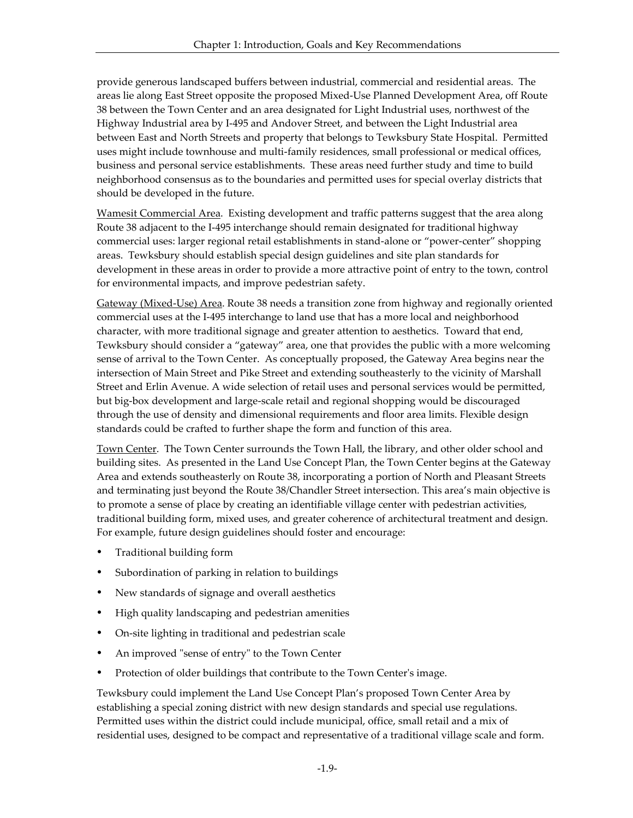provide generous landscaped buffers between industrial, commercial and residential areas. The areas lie along East Street opposite the proposed Mixed-Use Planned Development Area, off Route 38 between the Town Center and an area designated for Light Industrial uses, northwest of the Highway Industrial area by I-495 and Andover Street, and between the Light Industrial area between East and North Streets and property that belongs to Tewksbury State Hospital. Permitted uses might include townhouse and multi-family residences, small professional or medical offices, business and personal service establishments. These areas need further study and time to build neighborhood consensus as to the boundaries and permitted uses for special overlay districts that should be developed in the future.

Wamesit Commercial Area. Existing development and traffic patterns suggest that the area along Route 38 adjacent to the I-495 interchange should remain designated for traditional highway commercial uses: larger regional retail establishments in stand-alone or "power-center" shopping areas. Tewksbury should establish special design guidelines and site plan standards for development in these areas in order to provide a more attractive point of entry to the town, control for environmental impacts, and improve pedestrian safety.

Gateway (Mixed-Use) Area. Route 38 needs a transition zone from highway and regionally oriented commercial uses at the I-495 interchange to land use that has a more local and neighborhood character, with more traditional signage and greater attention to aesthetics. Toward that end, Tewksbury should consider a "gateway" area, one that provides the public with a more welcoming sense of arrival to the Town Center. As conceptually proposed, the Gateway Area begins near the intersection of Main Street and Pike Street and extending southeasterly to the vicinity of Marshall Street and Erlin Avenue. A wide selection of retail uses and personal services would be permitted, but big-box development and large-scale retail and regional shopping would be discouraged through the use of density and dimensional requirements and floor area limits. Flexible design standards could be crafted to further shape the form and function of this area.

Town Center. The Town Center surrounds the Town Hall, the library, and other older school and building sites. As presented in the Land Use Concept Plan, the Town Center begins at the Gateway Area and extends southeasterly on Route 38, incorporating a portion of North and Pleasant Streets and terminating just beyond the Route 38/Chandler Street intersection. This area's main objective is to promote a sense of place by creating an identifiable village center with pedestrian activities, traditional building form, mixed uses, and greater coherence of architectural treatment and design. For example, future design guidelines should foster and encourage:

- ü Traditional building form
- **•** Subordination of parking in relation to buildings
- New standards of signage and overall aesthetics
- High quality landscaping and pedestrian amenities
- On-site lighting in traditional and pedestrian scale
- An improved "sense of entry" to the Town Center
- Protection of older buildings that contribute to the Town Center's image.

Tewksbury could implement the Land Use Concept Plan's proposed Town Center Area by establishing a special zoning district with new design standards and special use regulations. Permitted uses within the district could include municipal, office, small retail and a mix of residential uses, designed to be compact and representative of a traditional village scale and form.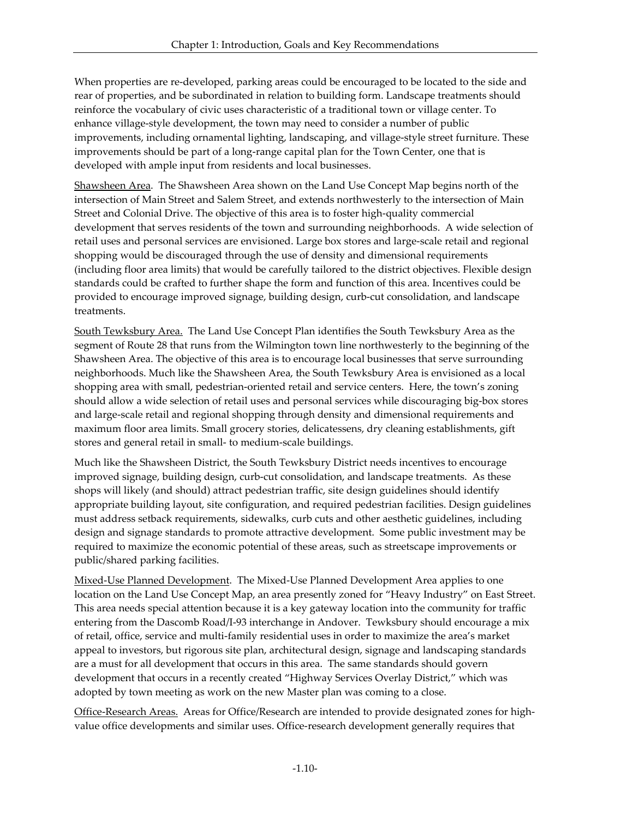When properties are re-developed, parking areas could be encouraged to be located to the side and rear of properties, and be subordinated in relation to building form. Landscape treatments should reinforce the vocabulary of civic uses characteristic of a traditional town or village center. To enhance village-style development, the town may need to consider a number of public improvements, including ornamental lighting, landscaping, and village-style street furniture. These improvements should be part of a long-range capital plan for the Town Center, one that is developed with ample input from residents and local businesses.

Shawsheen Area. The Shawsheen Area shown on the Land Use Concept Map begins north of the intersection of Main Street and Salem Street, and extends northwesterly to the intersection of Main Street and Colonial Drive. The objective of this area is to foster high-quality commercial development that serves residents of the town and surrounding neighborhoods. A wide selection of retail uses and personal services are envisioned. Large box stores and large-scale retail and regional shopping would be discouraged through the use of density and dimensional requirements (including floor area limits) that would be carefully tailored to the district objectives. Flexible design standards could be crafted to further shape the form and function of this area. Incentives could be provided to encourage improved signage, building design, curb-cut consolidation, and landscape treatments.

South Tewksbury Area. The Land Use Concept Plan identifies the South Tewksbury Area as the segment of Route 28 that runs from the Wilmington town line northwesterly to the beginning of the Shawsheen Area. The objective of this area is to encourage local businesses that serve surrounding neighborhoods. Much like the Shawsheen Area, the South Tewksbury Area is envisioned as a local shopping area with small, pedestrian-oriented retail and service centers. Here, the town's zoning should allow a wide selection of retail uses and personal services while discouraging big-box stores and large-scale retail and regional shopping through density and dimensional requirements and maximum floor area limits. Small grocery stories, delicatessens, dry cleaning establishments, gift stores and general retail in small- to medium-scale buildings.

Much like the Shawsheen District, the South Tewksbury District needs incentives to encourage improved signage, building design, curb-cut consolidation, and landscape treatments. As these shops will likely (and should) attract pedestrian traffic, site design guidelines should identify appropriate building layout, site configuration, and required pedestrian facilities. Design guidelines must address setback requirements, sidewalks, curb cuts and other aesthetic guidelines, including design and signage standards to promote attractive development. Some public investment may be required to maximize the economic potential of these areas, such as streetscape improvements or public/shared parking facilities.

Mixed-Use Planned Development. The Mixed-Use Planned Development Area applies to one location on the Land Use Concept Map, an area presently zoned for "Heavy Industry" on East Street. This area needs special attention because it is a key gateway location into the community for traffic entering from the Dascomb Road/I-93 interchange in Andover. Tewksbury should encourage a mix of retail, office, service and multi-family residential uses in order to maximize the area's market appeal to investors, but rigorous site plan, architectural design, signage and landscaping standards are a must for all development that occurs in this area. The same standards should govern development that occurs in a recently created "Highway Services Overlay District," which was adopted by town meeting as work on the new Master plan was coming to a close.

Office-Research Areas. Areas for Office/Research are intended to provide designated zones for highvalue office developments and similar uses. Office-research development generally requires that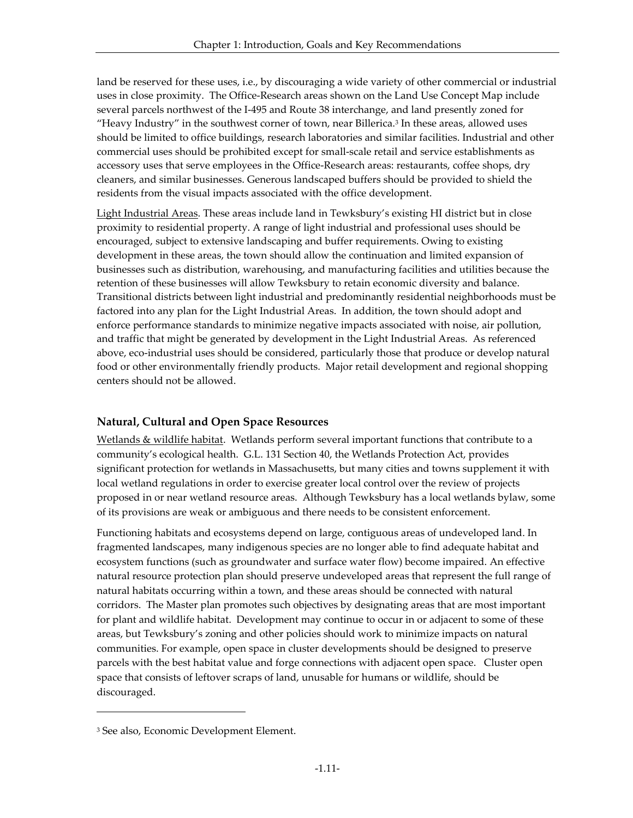land be reserved for these uses, i.e., by discouraging a wide variety of other commercial or industrial uses in close proximity. The Office-Research areas shown on the Land Use Concept Map include several parcels northwest of the I-495 and Route 38 interchange, and land presently zoned for "Heavy Industry" in the southwest corner of town, near Billerica.<sup>3</sup> In these areas, allowed uses should be limited to office buildings, research laboratories and similar facilities. Industrial and other commercial uses should be prohibited except for small-scale retail and service establishments as accessory uses that serve employees in the Office-Research areas: restaurants, coffee shops, dry cleaners, and similar businesses. Generous landscaped buffers should be provided to shield the residents from the visual impacts associated with the office development.

Light Industrial Areas. These areas include land in Tewksbury's existing HI district but in close proximity to residential property. A range of light industrial and professional uses should be encouraged, subject to extensive landscaping and buffer requirements. Owing to existing development in these areas, the town should allow the continuation and limited expansion of businesses such as distribution, warehousing, and manufacturing facilities and utilities because the retention of these businesses will allow Tewksbury to retain economic diversity and balance. Transitional districts between light industrial and predominantly residential neighborhoods must be factored into any plan for the Light Industrial Areas. In addition, the town should adopt and enforce performance standards to minimize negative impacts associated with noise, air pollution, and traffic that might be generated by development in the Light Industrial Areas. As referenced above, eco-industrial uses should be considered, particularly those that produce or develop natural food or other environmentally friendly products. Major retail development and regional shopping centers should not be allowed.

#### **Natural, Cultural and Open Space Resources**

Wetlands & wildlife habitat. Wetlands perform several important functions that contribute to a community's ecological health. G.L. 131 Section 40, the Wetlands Protection Act, provides significant protection for wetlands in Massachusetts, but many cities and towns supplement it with local wetland regulations in order to exercise greater local control over the review of projects proposed in or near wetland resource areas. Although Tewksbury has a local wetlands bylaw, some of its provisions are weak or ambiguous and there needs to be consistent enforcement.

Functioning habitats and ecosystems depend on large, contiguous areas of undeveloped land. In fragmented landscapes, many indigenous species are no longer able to find adequate habitat and ecosystem functions (such as groundwater and surface water flow) become impaired. An effective natural resource protection plan should preserve undeveloped areas that represent the full range of natural habitats occurring within a town, and these areas should be connected with natural corridors. The Master plan promotes such objectives by designating areas that are most important for plant and wildlife habitat. Development may continue to occur in or adjacent to some of these areas, but Tewksbury's zoning and other policies should work to minimize impacts on natural communities. For example, open space in cluster developments should be designed to preserve parcels with the best habitat value and forge connections with adjacent open space. Cluster open space that consists of leftover scraps of land, unusable for humans or wildlife, should be discouraged.

-

<sup>3</sup> See also, Economic Development Element.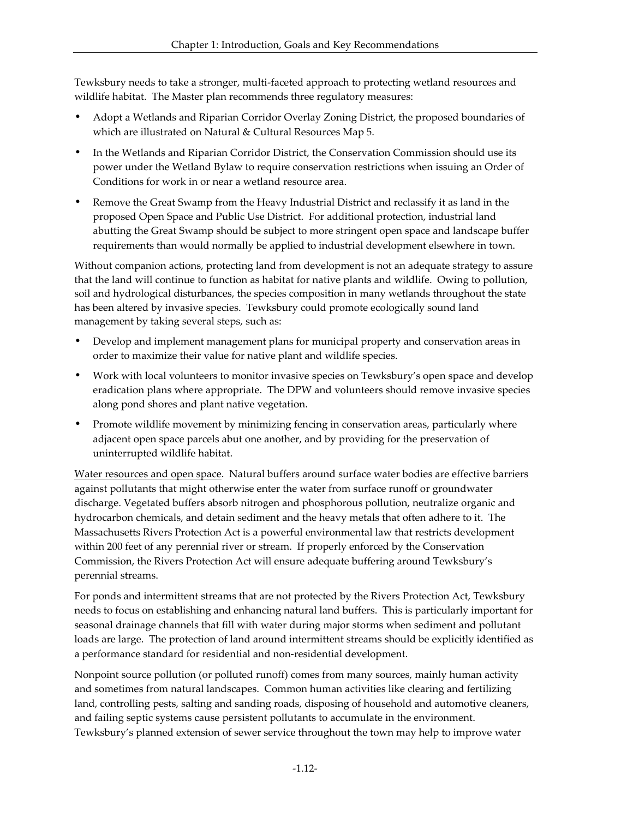Tewksbury needs to take a stronger, multi-faceted approach to protecting wetland resources and wildlife habitat. The Master plan recommends three regulatory measures:

- Adopt a Wetlands and Riparian Corridor Overlay Zoning District, the proposed boundaries of which are illustrated on Natural & Cultural Resources Map 5.
- In the Wetlands and Riparian Corridor District, the Conservation Commission should use its power under the Wetland Bylaw to require conservation restrictions when issuing an Order of Conditions for work in or near a wetland resource area.
- Remove the Great Swamp from the Heavy Industrial District and reclassify it as land in the proposed Open Space and Public Use District. For additional protection, industrial land abutting the Great Swamp should be subject to more stringent open space and landscape buffer requirements than would normally be applied to industrial development elsewhere in town.

Without companion actions, protecting land from development is not an adequate strategy to assure that the land will continue to function as habitat for native plants and wildlife. Owing to pollution, soil and hydrological disturbances, the species composition in many wetlands throughout the state has been altered by invasive species. Tewksbury could promote ecologically sound land management by taking several steps, such as:

- Develop and implement management plans for municipal property and conservation areas in order to maximize their value for native plant and wildlife species.
- Work with local volunteers to monitor invasive species on Tewksbury's open space and develop eradication plans where appropriate. The DPW and volunteers should remove invasive species along pond shores and plant native vegetation.
- Promote wildlife movement by minimizing fencing in conservation areas, particularly where adjacent open space parcels abut one another, and by providing for the preservation of uninterrupted wildlife habitat.

Water resources and open space. Natural buffers around surface water bodies are effective barriers against pollutants that might otherwise enter the water from surface runoff or groundwater discharge. Vegetated buffers absorb nitrogen and phosphorous pollution, neutralize organic and hydrocarbon chemicals, and detain sediment and the heavy metals that often adhere to it. The Massachusetts Rivers Protection Act is a powerful environmental law that restricts development within 200 feet of any perennial river or stream. If properly enforced by the Conservation Commission, the Rivers Protection Act will ensure adequate buffering around Tewksbury's perennial streams.

For ponds and intermittent streams that are not protected by the Rivers Protection Act, Tewksbury needs to focus on establishing and enhancing natural land buffers. This is particularly important for seasonal drainage channels that fill with water during major storms when sediment and pollutant loads are large. The protection of land around intermittent streams should be explicitly identified as a performance standard for residential and non-residential development.

Nonpoint source pollution (or polluted runoff) comes from many sources, mainly human activity and sometimes from natural landscapes. Common human activities like clearing and fertilizing land, controlling pests, salting and sanding roads, disposing of household and automotive cleaners, and failing septic systems cause persistent pollutants to accumulate in the environment. Tewksbury's planned extension of sewer service throughout the town may help to improve water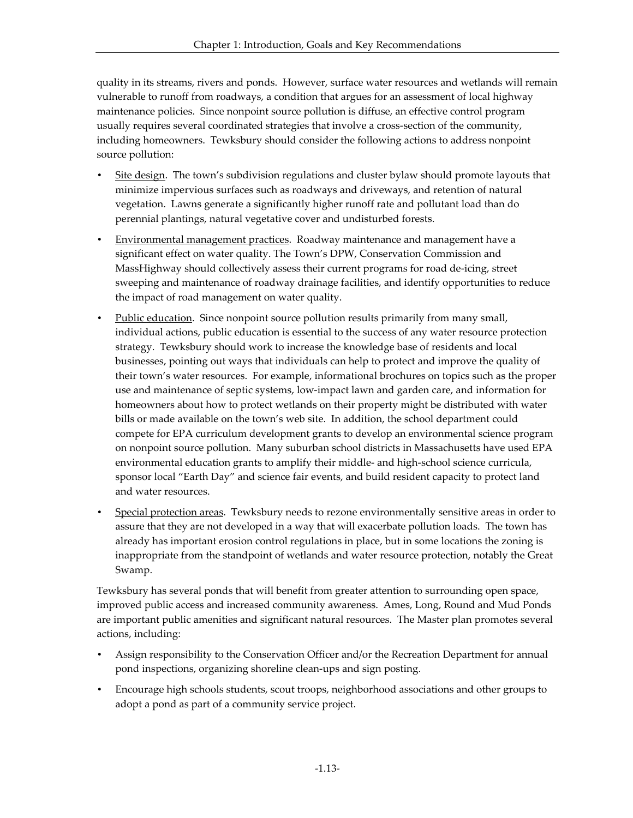quality in its streams, rivers and ponds. However, surface water resources and wetlands will remain vulnerable to runoff from roadways, a condition that argues for an assessment of local highway maintenance policies. Since nonpoint source pollution is diffuse, an effective control program usually requires several coordinated strategies that involve a cross-section of the community, including homeowners. Tewksbury should consider the following actions to address nonpoint source pollution:

- Site design. The town's subdivision regulations and cluster bylaw should promote layouts that minimize impervious surfaces such as roadways and driveways, and retention of natural vegetation. Lawns generate a significantly higher runoff rate and pollutant load than do perennial plantings, natural vegetative cover and undisturbed forests.
- Environmental management practices. Roadway maintenance and management have a significant effect on water quality. The Town's DPW, Conservation Commission and MassHighway should collectively assess their current programs for road de-icing, street sweeping and maintenance of roadway drainage facilities, and identify opportunities to reduce the impact of road management on water quality.
- Public education. Since nonpoint source pollution results primarily from many small, individual actions, public education is essential to the success of any water resource protection strategy. Tewksbury should work to increase the knowledge base of residents and local businesses, pointing out ways that individuals can help to protect and improve the quality of their town's water resources. For example, informational brochures on topics such as the proper use and maintenance of septic systems, low-impact lawn and garden care, and information for homeowners about how to protect wetlands on their property might be distributed with water bills or made available on the town's web site. In addition, the school department could compete for EPA curriculum development grants to develop an environmental science program on nonpoint source pollution. Many suburban school districts in Massachusetts have used EPA environmental education grants to amplify their middle- and high-school science curricula, sponsor local "Earth Day" and science fair events, and build resident capacity to protect land and water resources.
- Special protection areas. Tewksbury needs to rezone environmentally sensitive areas in order to assure that they are not developed in a way that will exacerbate pollution loads. The town has already has important erosion control regulations in place, but in some locations the zoning is inappropriate from the standpoint of wetlands and water resource protection, notably the Great Swamp.

Tewksbury has several ponds that will benefit from greater attention to surrounding open space, improved public access and increased community awareness. Ames, Long, Round and Mud Ponds are important public amenities and significant natural resources. The Master plan promotes several actions, including:

- Assign responsibility to the Conservation Officer and/or the Recreation Department for annual pond inspections, organizing shoreline clean-ups and sign posting.
- Encourage high schools students, scout troops, neighborhood associations and other groups to adopt a pond as part of a community service project.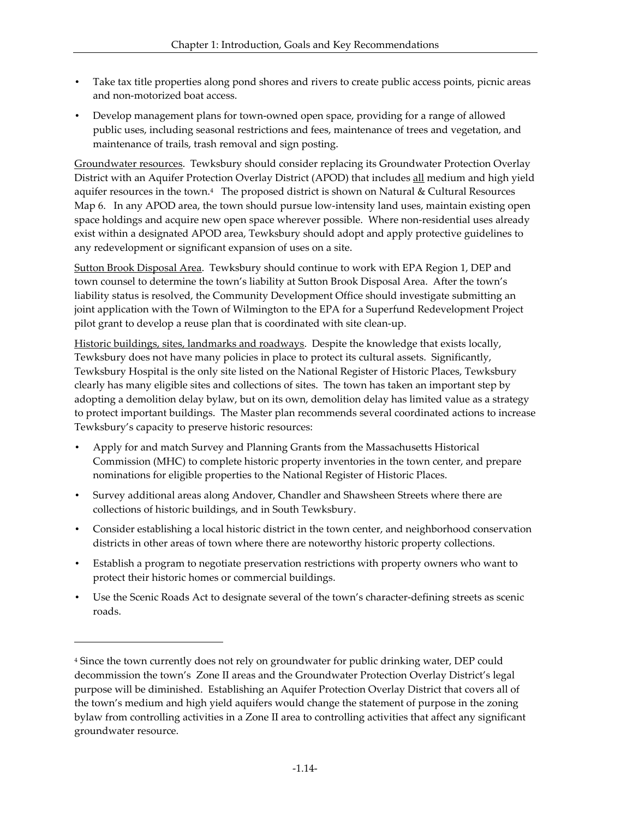- Take tax title properties along pond shores and rivers to create public access points, picnic areas and non-motorized boat access.
- Develop management plans for town-owned open space, providing for a range of allowed public uses, including seasonal restrictions and fees, maintenance of trees and vegetation, and maintenance of trails, trash removal and sign posting.

Groundwater resources. Tewksbury should consider replacing its Groundwater Protection Overlay District with an Aquifer Protection Overlay District (APOD) that includes all medium and high yield aquifer resources in the town. $4$  The proposed district is shown on Natural & Cultural Resources Map 6. In any APOD area, the town should pursue low-intensity land uses, maintain existing open space holdings and acquire new open space wherever possible. Where non-residential uses already exist within a designated APOD area, Tewksbury should adopt and apply protective guidelines to any redevelopment or significant expansion of uses on a site.

Sutton Brook Disposal Area. Tewksbury should continue to work with EPA Region 1, DEP and town counsel to determine the town's liability at Sutton Brook Disposal Area. After the town's liability status is resolved, the Community Development Office should investigate submitting an joint application with the Town of Wilmington to the EPA for a Superfund Redevelopment Project pilot grant to develop a reuse plan that is coordinated with site clean-up.

Historic buildings, sites, landmarks and roadways. Despite the knowledge that exists locally, Tewksbury does not have many policies in place to protect its cultural assets. Significantly, Tewksbury Hospital is the only site listed on the National Register of Historic Places, Tewksbury clearly has many eligible sites and collections of sites. The town has taken an important step by adopting a demolition delay bylaw, but on its own, demolition delay has limited value as a strategy to protect important buildings. The Master plan recommends several coordinated actions to increase Tewksbury's capacity to preserve historic resources:

- Apply for and match Survey and Planning Grants from the Massachusetts Historical Commission (MHC) to complete historic property inventories in the town center, and prepare nominations for eligible properties to the National Register of Historic Places.
- Survey additional areas along Andover, Chandler and Shawsheen Streets where there are collections of historic buildings, and in South Tewksbury.
- Consider establishing a local historic district in the town center, and neighborhood conservation districts in other areas of town where there are noteworthy historic property collections.
- Establish a program to negotiate preservation restrictions with property owners who want to protect their historic homes or commercial buildings.
- Use the Scenic Roads Act to designate several of the town's character-defining streets as scenic roads.

 $\overline{a}$ 

<sup>4</sup> Since the town currently does not rely on groundwater for public drinking water, DEP could decommission the town's Zone II areas and the Groundwater Protection Overlay District's legal purpose will be diminished. Establishing an Aquifer Protection Overlay District that covers all of the town's medium and high yield aquifers would change the statement of purpose in the zoning bylaw from controlling activities in a Zone II area to controlling activities that affect any significant groundwater resource.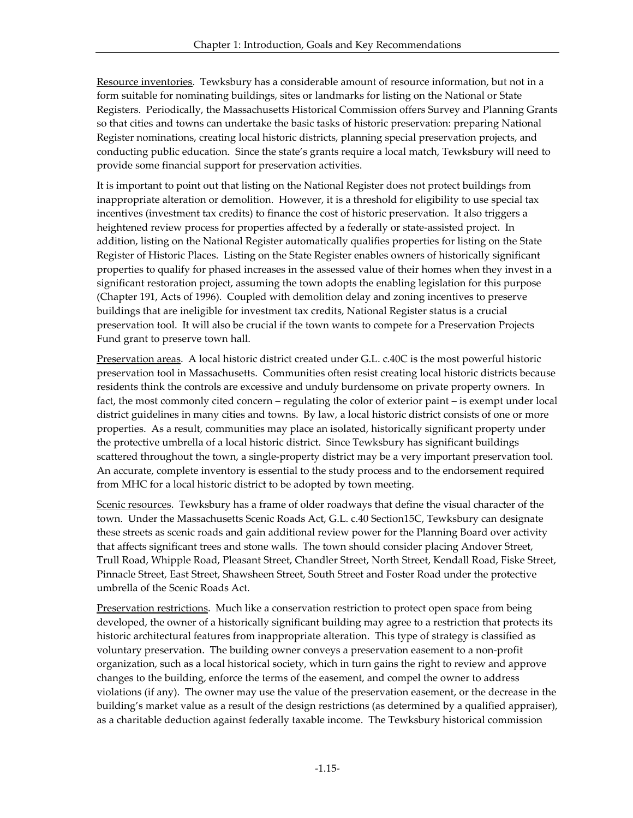Resource inventories. Tewksbury has a considerable amount of resource information, but not in a form suitable for nominating buildings, sites or landmarks for listing on the National or State Registers. Periodically, the Massachusetts Historical Commission offers Survey and Planning Grants so that cities and towns can undertake the basic tasks of historic preservation: preparing National Register nominations, creating local historic districts, planning special preservation projects, and conducting public education. Since the state's grants require a local match, Tewksbury will need to provide some financial support for preservation activities.

It is important to point out that listing on the National Register does not protect buildings from inappropriate alteration or demolition. However, it is a threshold for eligibility to use special tax incentives (investment tax credits) to finance the cost of historic preservation. It also triggers a heightened review process for properties affected by a federally or state-assisted project. In addition, listing on the National Register automatically qualifies properties for listing on the State Register of Historic Places. Listing on the State Register enables owners of historically significant properties to qualify for phased increases in the assessed value of their homes when they invest in a significant restoration project, assuming the town adopts the enabling legislation for this purpose (Chapter 191, Acts of 1996). Coupled with demolition delay and zoning incentives to preserve buildings that are ineligible for investment tax credits, National Register status is a crucial preservation tool. It will also be crucial if the town wants to compete for a Preservation Projects Fund grant to preserve town hall.

Preservation areas. A local historic district created under G.L. c.40C is the most powerful historic preservation tool in Massachusetts. Communities often resist creating local historic districts because residents think the controls are excessive and unduly burdensome on private property owners. In fact, the most commonly cited concern – regulating the color of exterior paint – is exempt under local district guidelines in many cities and towns. By law, a local historic district consists of one or more properties. As a result, communities may place an isolated, historically significant property under the protective umbrella of a local historic district. Since Tewksbury has significant buildings scattered throughout the town, a single-property district may be a very important preservation tool. An accurate, complete inventory is essential to the study process and to the endorsement required from MHC for a local historic district to be adopted by town meeting.

Scenic resources. Tewksbury has a frame of older roadways that define the visual character of the town. Under the Massachusetts Scenic Roads Act, G.L. c.40 Section15C, Tewksbury can designate these streets as scenic roads and gain additional review power for the Planning Board over activity that affects significant trees and stone walls. The town should consider placing Andover Street, Trull Road, Whipple Road, Pleasant Street, Chandler Street, North Street, Kendall Road, Fiske Street, Pinnacle Street, East Street, Shawsheen Street, South Street and Foster Road under the protective umbrella of the Scenic Roads Act.

Preservation restrictions. Much like a conservation restriction to protect open space from being developed, the owner of a historically significant building may agree to a restriction that protects its historic architectural features from inappropriate alteration. This type of strategy is classified as voluntary preservation. The building owner conveys a preservation easement to a non-profit organization, such as a local historical society, which in turn gains the right to review and approve changes to the building, enforce the terms of the easement, and compel the owner to address violations (if any). The owner may use the value of the preservation easement, or the decrease in the building's market value as a result of the design restrictions (as determined by a qualified appraiser), as a charitable deduction against federally taxable income. The Tewksbury historical commission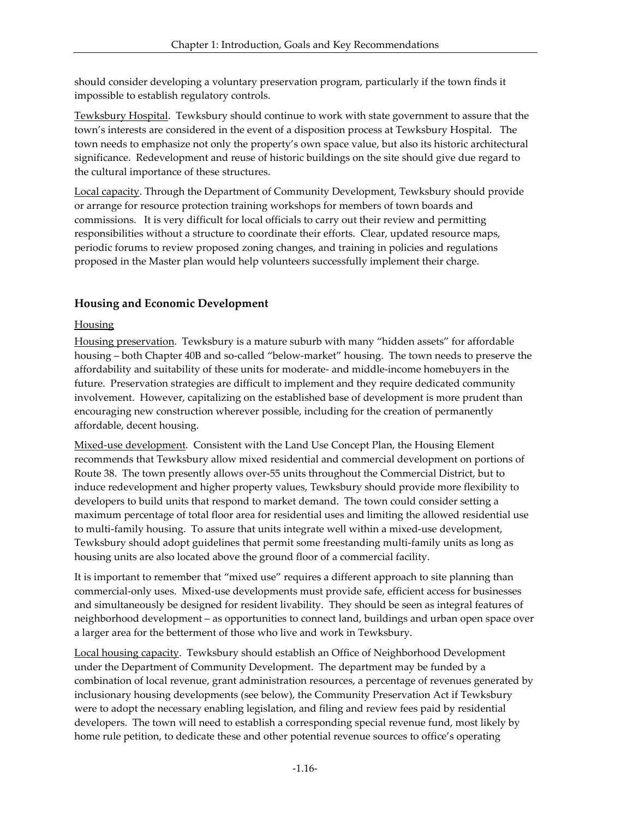should consider developing a voluntary preservation program, particularly if the town finds it impossible to establish regulatory controls.

Tewksbury Hospital. Tewksbury should continue to work with state government to assure that the town's interests are considered in the event of a disposition process at Tewksbury Hospital. The town needs to emphasize not only the property's own space value, but also its historic architectural significance. Redevelopment and reuse of historic buildings on the site should give due regard to the cultural importance of these structures.

Local capacity. Through the Department of Community Development, Tewksbury should provide or arrange for resource protection training workshops for members of town boards and commissions. It is very difficult for local officials to carry out their review and permitting responsibilities without a structure to coordinate their efforts. Clear, updated resource maps, periodic forums to review proposed zoning changes, and training in policies and regulations proposed in the Master plan would help volunteers successfully implement their charge.

#### **Housing and Economic Development**

#### **Housing**

Housing preservation. Tewksbury is a mature suburb with many "hidden assets" for affordable housing – both Chapter 40B and so-called "below-market" housing. The town needs to preserve the affordability and suitability of these units for moderate- and middle-income homebuyers in the future. Preservation strategies are difficult to implement and they require dedicated community involvement. However, capitalizing on the established base of development is more prudent than encouraging new construction wherever possible, including for the creation of permanently affordable, decent housing.

Mixed-use development. Consistent with the Land Use Concept Plan, the Housing Element recommends that Tewksbury allow mixed residential and commercial development on portions of Route 38. The town presently allows over-55 units throughout the Commercial District, but to induce redevelopment and higher property values, Tewksbury should provide more flexibility to developers to build units that respond to market demand. The town could consider setting a maximum percentage of total floor area for residential uses and limiting the allowed residential use to multi-family housing. To assure that units integrate well within a mixed-use development, Tewksbury should adopt guidelines that permit some freestanding multi-family units as long as housing units are also located above the ground floor of a commercial facility.

It is important to remember that "mixed use" requires a different approach to site planning than commercial-only uses. Mixed-use developments must provide safe, efficient access for businesses and simultaneously be designed for resident livability. They should be seen as integral features of neighborhood development – as opportunities to connect land, buildings and urban open space over a larger area for the betterment of those who live and work in Tewksbury.

Local housing capacity. Tewksbury should establish an Office of Neighborhood Development under the Department of Community Development. The department may be funded by a combination of local revenue, grant administration resources, a percentage of revenues generated by inclusionary housing developments (see below), the Community Preservation Act if Tewksbury were to adopt the necessary enabling legislation, and filing and review fees paid by residential developers. The town will need to establish a corresponding special revenue fund, most likely by home rule petition, to dedicate these and other potential revenue sources to office's operating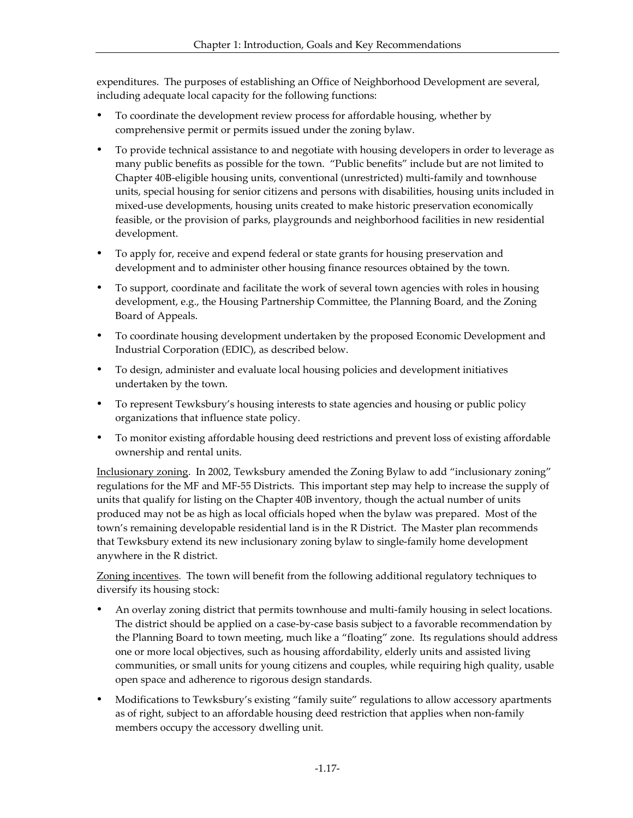expenditures. The purposes of establishing an Office of Neighborhood Development are several, including adequate local capacity for the following functions:

- ü To coordinate the development review process for affordable housing, whether by comprehensive permit or permits issued under the zoning bylaw.
- ü To provide technical assistance to and negotiate with housing developers in order to leverage as many public benefits as possible for the town. "Public benefits" include but are not limited to Chapter 40B-eligible housing units, conventional (unrestricted) multi-family and townhouse units, special housing for senior citizens and persons with disabilities, housing units included in mixed-use developments, housing units created to make historic preservation economically feasible, or the provision of parks, playgrounds and neighborhood facilities in new residential development.
- To apply for, receive and expend federal or state grants for housing preservation and development and to administer other housing finance resources obtained by the town.
- ü To support, coordinate and facilitate the work of several town agencies with roles in housing development, e.g., the Housing Partnership Committee, the Planning Board, and the Zoning Board of Appeals.
- ü To coordinate housing development undertaken by the proposed Economic Development and Industrial Corporation (EDIC), as described below.
- ü To design, administer and evaluate local housing policies and development initiatives undertaken by the town.
- To represent Tewksbury's housing interests to state agencies and housing or public policy organizations that influence state policy.
- ü To monitor existing affordable housing deed restrictions and prevent loss of existing affordable ownership and rental units.

Inclusionary zoning. In 2002, Tewksbury amended the Zoning Bylaw to add "inclusionary zoning" regulations for the MF and MF-55 Districts. This important step may help to increase the supply of units that qualify for listing on the Chapter 40B inventory, though the actual number of units produced may not be as high as local officials hoped when the bylaw was prepared. Most of the town's remaining developable residential land is in the R District. The Master plan recommends that Tewksbury extend its new inclusionary zoning bylaw to single-family home development anywhere in the R district.

Zoning incentives. The town will benefit from the following additional regulatory techniques to diversify its housing stock:

- ü An overlay zoning district that permits townhouse and multi-family housing in select locations. The district should be applied on a case-by-case basis subject to a favorable recommendation by the Planning Board to town meeting, much like a "floating" zone. Its regulations should address one or more local objectives, such as housing affordability, elderly units and assisted living communities, or small units for young citizens and couples, while requiring high quality, usable open space and adherence to rigorous design standards.
- Modifications to Tewksbury's existing "family suite" regulations to allow accessory apartments as of right, subject to an affordable housing deed restriction that applies when non-family members occupy the accessory dwelling unit.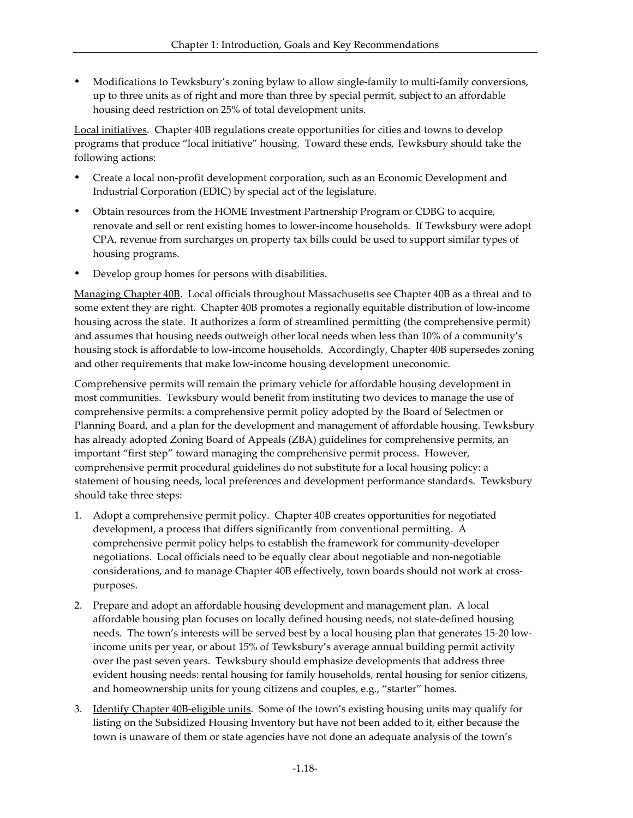ü Modifications to Tewksbury's zoning bylaw to allow single-family to multi-family conversions, up to three units as of right and more than three by special permit, subject to an affordable housing deed restriction on 25% of total development units.

Local initiatives. Chapter 40B regulations create opportunities for cities and towns to develop programs that produce "local initiative" housing. Toward these ends, Tewksbury should take the following actions:

- ü Create a local non-profit development corporation, such as an Economic Development and Industrial Corporation (EDIC) by special act of the legislature.
- ü Obtain resources from the HOME Investment Partnership Program or CDBG to acquire, renovate and sell or rent existing homes to lower-income households. If Tewksbury were adopt CPA, revenue from surcharges on property tax bills could be used to support similar types of housing programs.
- Develop group homes for persons with disabilities.

Managing Chapter 40B. Local officials throughout Massachusetts see Chapter 40B as a threat and to some extent they are right. Chapter 40B promotes a regionally equitable distribution of low-income housing across the state. It authorizes a form of streamlined permitting (the comprehensive permit) and assumes that housing needs outweigh other local needs when less than 10% of a community's housing stock is affordable to low-income households. Accordingly, Chapter 40B supersedes zoning and other requirements that make low-income housing development uneconomic.

Comprehensive permits will remain the primary vehicle for affordable housing development in most communities. Tewksbury would benefit from instituting two devices to manage the use of comprehensive permits: a comprehensive permit policy adopted by the Board of Selectmen or Planning Board, and a plan for the development and management of affordable housing. Tewksbury has already adopted Zoning Board of Appeals (ZBA) guidelines for comprehensive permits, an important "first step" toward managing the comprehensive permit process. However, comprehensive permit procedural guidelines do not substitute for a local housing policy: a statement of housing needs, local preferences and development performance standards. Tewksbury should take three steps:

- 1. Adopt a comprehensive permit policy. Chapter 40B creates opportunities for negotiated development, a process that differs significantly from conventional permitting. A comprehensive permit policy helps to establish the framework for community-developer negotiations. Local officials need to be equally clear about negotiable and non-negotiable considerations, and to manage Chapter 40B effectively, town boards should not work at crosspurposes.
- 2. Prepare and adopt an affordable housing development and management plan. A local affordable housing plan focuses on locally defined housing needs, not state-defined housing needs. The town's interests will be served best by a local housing plan that generates 15-20 lowincome units per year, or about 15% of Tewksbury's average annual building permit activity over the past seven years. Tewksbury should emphasize developments that address three evident housing needs: rental housing for family households, rental housing for senior citizens, and homeownership units for young citizens and couples, e.g., "starter" homes.
- 3. Identify Chapter 40B-eligible units. Some of the town's existing housing units may qualify for listing on the Subsidized Housing Inventory but have not been added to it, either because the town is unaware of them or state agencies have not done an adequate analysis of the town's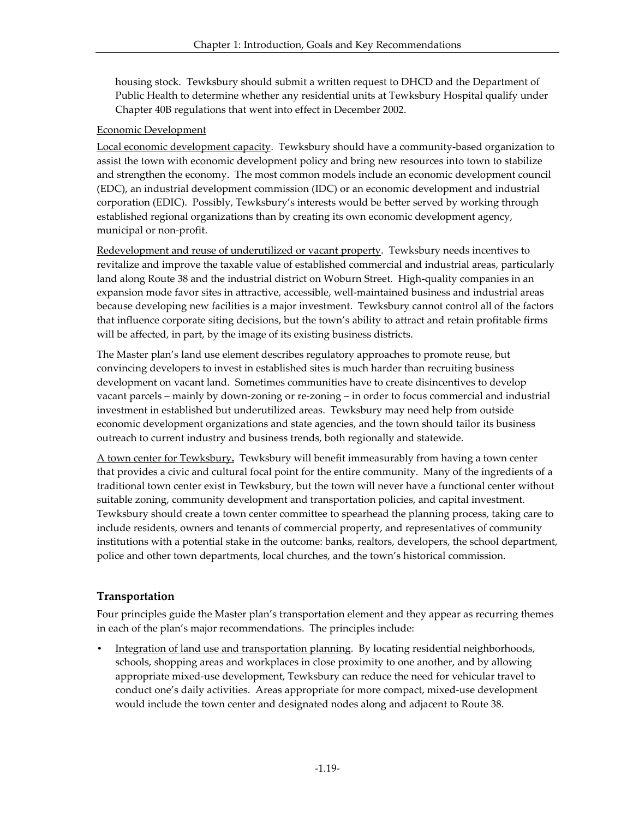housing stock. Tewksbury should submit a written request to DHCD and the Department of Public Health to determine whether any residential units at Tewksbury Hospital qualify under Chapter 40B regulations that went into effect in December 2002.

#### Economic Development

Local economic development capacity. Tewksbury should have a community-based organization to assist the town with economic development policy and bring new resources into town to stabilize and strengthen the economy. The most common models include an economic development council (EDC), an industrial development commission (IDC) or an economic development and industrial corporation (EDIC). Possibly, Tewksbury's interests would be better served by working through established regional organizations than by creating its own economic development agency, municipal or non-profit.

Redevelopment and reuse of underutilized or vacant property. Tewksbury needs incentives to revitalize and improve the taxable value of established commercial and industrial areas, particularly land along Route 38 and the industrial district on Woburn Street. High-quality companies in an expansion mode favor sites in attractive, accessible, well-maintained business and industrial areas because developing new facilities is a major investment. Tewksbury cannot control all of the factors that influence corporate siting decisions, but the town's ability to attract and retain profitable firms will be affected, in part, by the image of its existing business districts.

The Master plan's land use element describes regulatory approaches to promote reuse, but convincing developers to invest in established sites is much harder than recruiting business development on vacant land. Sometimes communities have to create disincentives to develop vacant parcels – mainly by down-zoning or re-zoning – in order to focus commercial and industrial investment in established but underutilized areas. Tewksbury may need help from outside economic development organizations and state agencies, and the town should tailor its business outreach to current industry and business trends, both regionally and statewide.

A town center for Tewksbury**.** Tewksbury will benefit immeasurably from having a town center that provides a civic and cultural focal point for the entire community. Many of the ingredients of a traditional town center exist in Tewksbury, but the town will never have a functional center without suitable zoning, community development and transportation policies, and capital investment. Tewksbury should create a town center committee to spearhead the planning process, taking care to include residents, owners and tenants of commercial property, and representatives of community institutions with a potential stake in the outcome: banks, realtors, developers, the school department, police and other town departments, local churches, and the town's historical commission.

#### **Transportation**

Four principles guide the Master plan's transportation element and they appear as recurring themes in each of the plan's major recommendations. The principles include:

• Integration of land use and transportation planning. By locating residential neighborhoods, schools, shopping areas and workplaces in close proximity to one another, and by allowing appropriate mixed-use development, Tewksbury can reduce the need for vehicular travel to conduct one's daily activities. Areas appropriate for more compact, mixed-use development would include the town center and designated nodes along and adjacent to Route 38.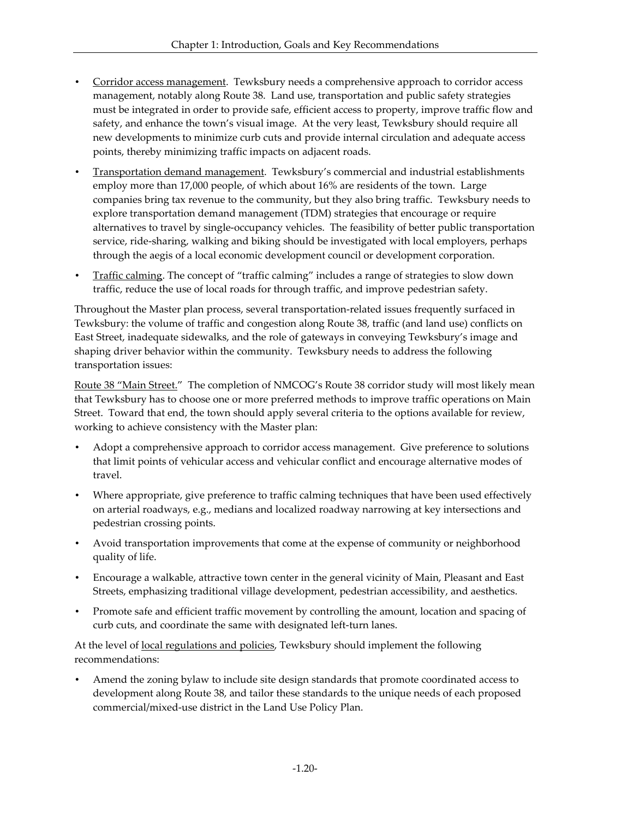- Corridor access management. Tewksbury needs a comprehensive approach to corridor access management, notably along Route 38. Land use, transportation and public safety strategies must be integrated in order to provide safe, efficient access to property, improve traffic flow and safety, and enhance the town's visual image. At the very least, Tewksbury should require all new developments to minimize curb cuts and provide internal circulation and adequate access points, thereby minimizing traffic impacts on adjacent roads.
- Transportation demand management. Tewksbury's commercial and industrial establishments employ more than 17,000 people, of which about 16% are residents of the town. Large companies bring tax revenue to the community, but they also bring traffic. Tewksbury needs to explore transportation demand management (TDM) strategies that encourage or require alternatives to travel by single-occupancy vehicles. The feasibility of better public transportation service, ride-sharing, walking and biking should be investigated with local employers, perhaps through the aegis of a local economic development council or development corporation.
- Traffic calming. The concept of "traffic calming" includes a range of strategies to slow down traffic, reduce the use of local roads for through traffic, and improve pedestrian safety.

Throughout the Master plan process, several transportation-related issues frequently surfaced in Tewksbury: the volume of traffic and congestion along Route 38, traffic (and land use) conflicts on East Street, inadequate sidewalks, and the role of gateways in conveying Tewksbury's image and shaping driver behavior within the community. Tewksbury needs to address the following transportation issues:

Route 38 "Main Street." The completion of NMCOG's Route 38 corridor study will most likely mean that Tewksbury has to choose one or more preferred methods to improve traffic operations on Main Street. Toward that end, the town should apply several criteria to the options available for review, working to achieve consistency with the Master plan:

- Adopt a comprehensive approach to corridor access management. Give preference to solutions that limit points of vehicular access and vehicular conflict and encourage alternative modes of travel.
- Where appropriate, give preference to traffic calming techniques that have been used effectively on arterial roadways, e.g., medians and localized roadway narrowing at key intersections and pedestrian crossing points.
- Avoid transportation improvements that come at the expense of community or neighborhood quality of life.
- Encourage a walkable, attractive town center in the general vicinity of Main, Pleasant and East Streets, emphasizing traditional village development, pedestrian accessibility, and aesthetics.
- Promote safe and efficient traffic movement by controlling the amount, location and spacing of curb cuts, and coordinate the same with designated left-turn lanes.

At the level of <u>local regulations and policies</u>, Tewksbury should implement the following recommendations:

• Amend the zoning bylaw to include site design standards that promote coordinated access to development along Route 38, and tailor these standards to the unique needs of each proposed commercial/mixed-use district in the Land Use Policy Plan.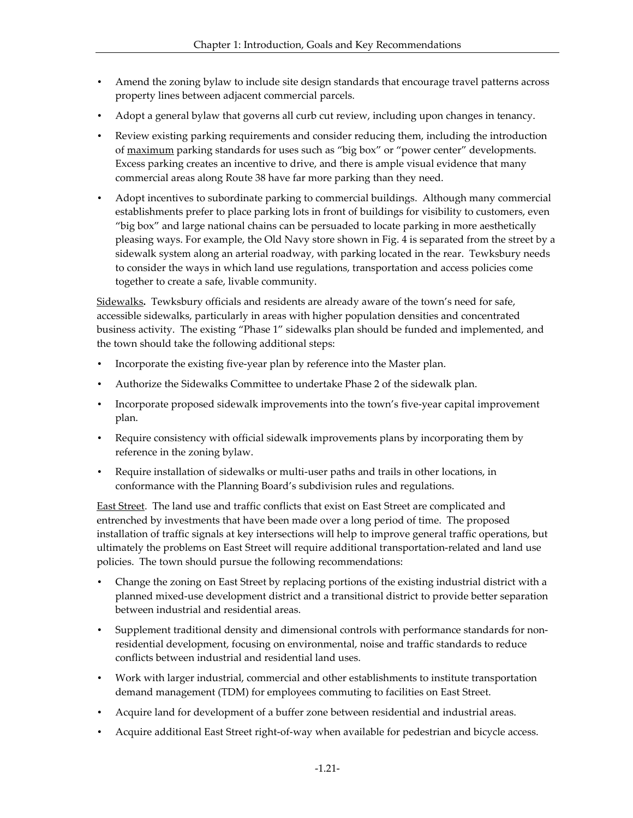- Amend the zoning bylaw to include site design standards that encourage travel patterns across property lines between adjacent commercial parcels.
- Adopt a general bylaw that governs all curb cut review, including upon changes in tenancy.
- Review existing parking requirements and consider reducing them, including the introduction of maximum parking standards for uses such as "big box" or "power center" developments. Excess parking creates an incentive to drive, and there is ample visual evidence that many commercial areas along Route 38 have far more parking than they need.
- Adopt incentives to subordinate parking to commercial buildings. Although many commercial establishments prefer to place parking lots in front of buildings for visibility to customers, even "big box" and large national chains can be persuaded to locate parking in more aesthetically pleasing ways. For example, the Old Navy store shown in Fig. 4 is separated from the street by a sidewalk system along an arterial roadway, with parking located in the rear. Tewksbury needs to consider the ways in which land use regulations, transportation and access policies come together to create a safe, livable community.

Sidewalks**.** Tewksbury officials and residents are already aware of the town's need for safe, accessible sidewalks, particularly in areas with higher population densities and concentrated business activity. The existing "Phase 1" sidewalks plan should be funded and implemented, and the town should take the following additional steps:

- Incorporate the existing five-year plan by reference into the Master plan.
- Authorize the Sidewalks Committee to undertake Phase 2 of the sidewalk plan.
- Incorporate proposed sidewalk improvements into the town's five-year capital improvement plan.
- Require consistency with official sidewalk improvements plans by incorporating them by reference in the zoning bylaw.
- Require installation of sidewalks or multi-user paths and trails in other locations, in conformance with the Planning Board's subdivision rules and regulations.

East Street. The land use and traffic conflicts that exist on East Street are complicated and entrenched by investments that have been made over a long period of time. The proposed installation of traffic signals at key intersections will help to improve general traffic operations, but ultimately the problems on East Street will require additional transportation-related and land use policies. The town should pursue the following recommendations:

- Change the zoning on East Street by replacing portions of the existing industrial district with a planned mixed-use development district and a transitional district to provide better separation between industrial and residential areas.
- Supplement traditional density and dimensional controls with performance standards for nonresidential development, focusing on environmental, noise and traffic standards to reduce conflicts between industrial and residential land uses.
- Work with larger industrial, commercial and other establishments to institute transportation demand management (TDM) for employees commuting to facilities on East Street.
- Acquire land for development of a buffer zone between residential and industrial areas.
- Acquire additional East Street right-of-way when available for pedestrian and bicycle access.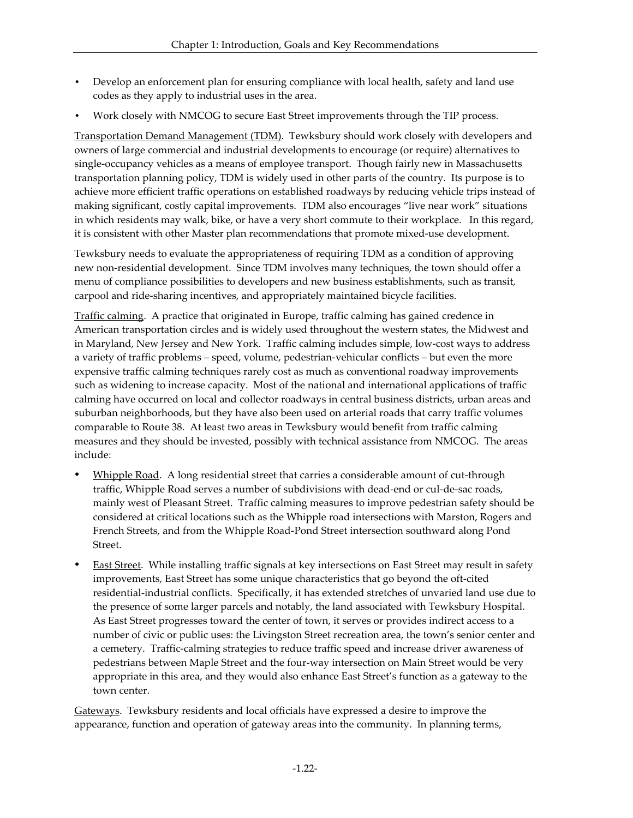- Develop an enforcement plan for ensuring compliance with local health, safety and land use codes as they apply to industrial uses in the area.
- Work closely with NMCOG to secure East Street improvements through the TIP process.

Transportation Demand Management (TDM). Tewksbury should work closely with developers and owners of large commercial and industrial developments to encourage (or require) alternatives to single-occupancy vehicles as a means of employee transport. Though fairly new in Massachusetts transportation planning policy, TDM is widely used in other parts of the country. Its purpose is to achieve more efficient traffic operations on established roadways by reducing vehicle trips instead of making significant, costly capital improvements. TDM also encourages "live near work" situations in which residents may walk, bike, or have a very short commute to their workplace. In this regard, it is consistent with other Master plan recommendations that promote mixed-use development.

Tewksbury needs to evaluate the appropriateness of requiring TDM as a condition of approving new non-residential development. Since TDM involves many techniques, the town should offer a menu of compliance possibilities to developers and new business establishments, such as transit, carpool and ride-sharing incentives, and appropriately maintained bicycle facilities.

Traffic calming. A practice that originated in Europe, traffic calming has gained credence in American transportation circles and is widely used throughout the western states, the Midwest and in Maryland, New Jersey and New York. Traffic calming includes simple, low-cost ways to address a variety of traffic problems – speed, volume, pedestrian-vehicular conflicts – but even the more expensive traffic calming techniques rarely cost as much as conventional roadway improvements such as widening to increase capacity. Most of the national and international applications of traffic calming have occurred on local and collector roadways in central business districts, urban areas and suburban neighborhoods, but they have also been used on arterial roads that carry traffic volumes comparable to Route 38. At least two areas in Tewksbury would benefit from traffic calming measures and they should be invested, possibly with technical assistance from NMCOG. The areas include:

- ü Whipple Road. A long residential street that carries a considerable amount of cut-through traffic, Whipple Road serves a number of subdivisions with dead-end or cul-de-sac roads, mainly west of Pleasant Street. Traffic calming measures to improve pedestrian safety should be considered at critical locations such as the Whipple road intersections with Marston, Rogers and French Streets, and from the Whipple Road-Pond Street intersection southward along Pond Street.
- East Street. While installing traffic signals at key intersections on East Street may result in safety improvements, East Street has some unique characteristics that go beyond the oft-cited residential-industrial conflicts. Specifically, it has extended stretches of unvaried land use due to the presence of some larger parcels and notably, the land associated with Tewksbury Hospital. As East Street progresses toward the center of town, it serves or provides indirect access to a number of civic or public uses: the Livingston Street recreation area, the town's senior center and a cemetery. Traffic-calming strategies to reduce traffic speed and increase driver awareness of pedestrians between Maple Street and the four-way intersection on Main Street would be very appropriate in this area, and they would also enhance East Street's function as a gateway to the town center.

Gateways. Tewksbury residents and local officials have expressed a desire to improve the appearance, function and operation of gateway areas into the community. In planning terms,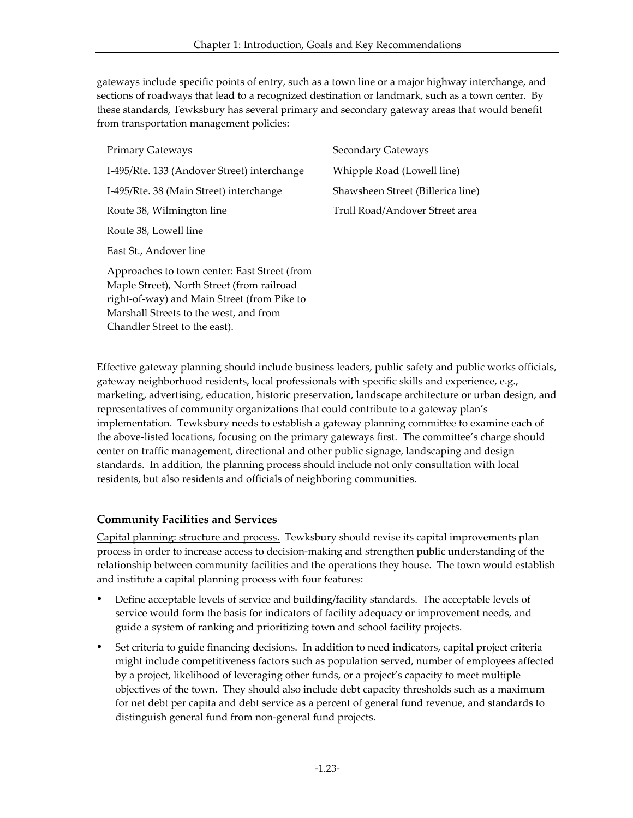gateways include specific points of entry, such as a town line or a major highway interchange, and sections of roadways that lead to a recognized destination or landmark, such as a town center. By these standards, Tewksbury has several primary and secondary gateway areas that would benefit from transportation management policies:

| <b>Primary Gateways</b>                                                                                                                                                                                              | Secondary Gateways                |
|----------------------------------------------------------------------------------------------------------------------------------------------------------------------------------------------------------------------|-----------------------------------|
| I-495/Rte. 133 (Andover Street) interchange                                                                                                                                                                          | Whipple Road (Lowell line)        |
| I-495/Rte. 38 (Main Street) interchange                                                                                                                                                                              | Shawsheen Street (Billerica line) |
| Route 38, Wilmington line                                                                                                                                                                                            | Trull Road/Andover Street area    |
| Route 38, Lowell line                                                                                                                                                                                                |                                   |
| East St., Andover line                                                                                                                                                                                               |                                   |
| Approaches to town center: East Street (from<br>Maple Street), North Street (from railroad<br>right-of-way) and Main Street (from Pike to<br>Marshall Streets to the west, and from<br>Chandler Street to the east). |                                   |

Effective gateway planning should include business leaders, public safety and public works officials, gateway neighborhood residents, local professionals with specific skills and experience, e.g., marketing, advertising, education, historic preservation, landscape architecture or urban design, and representatives of community organizations that could contribute to a gateway plan's implementation. Tewksbury needs to establish a gateway planning committee to examine each of the above-listed locations, focusing on the primary gateways first. The committee's charge should center on traffic management, directional and other public signage, landscaping and design standards. In addition, the planning process should include not only consultation with local residents, but also residents and officials of neighboring communities.

#### **Community Facilities and Services**

Capital planning: structure and process. Tewksbury should revise its capital improvements plan process in order to increase access to decision-making and strengthen public understanding of the relationship between community facilities and the operations they house. The town would establish and institute a capital planning process with four features:

- Define acceptable levels of service and building/facility standards. The acceptable levels of service would form the basis for indicators of facility adequacy or improvement needs, and guide a system of ranking and prioritizing town and school facility projects.
- ü Set criteria to guide financing decisions. In addition to need indicators, capital project criteria might include competitiveness factors such as population served, number of employees affected by a project, likelihood of leveraging other funds, or a project's capacity to meet multiple objectives of the town. They should also include debt capacity thresholds such as a maximum for net debt per capita and debt service as a percent of general fund revenue, and standards to distinguish general fund from non-general fund projects.